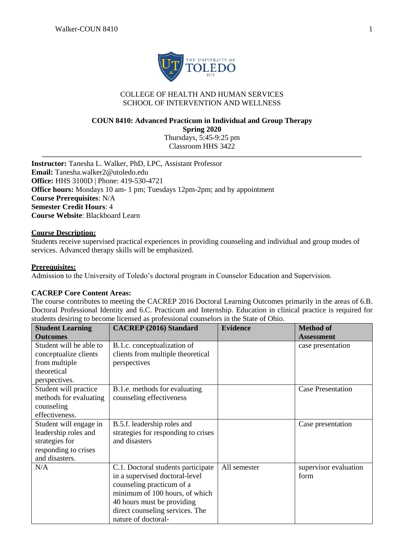

# COLLEGE OF HEALTH AND HUMAN SERVICES SCHOOL OF INTERVENTION AND WELLNESS

# **COUN 8410: Advanced Practicum in Individual and Group Therapy Spring 2020** Thursdays, 5:45-9:25 pm

Classroom HHS 3422

**Instructor:** Tanesha L. Walker, PhD, LPC, Assistant Professor **Email:** Tanesha.walker2@utoledo.edu **Office:** HHS 3100D | Phone: 419-530-4721 **Office hours:** Mondays 10 am- 1 pm; Tuesdays 12pm-2pm; and by appointment **Course Prerequisites**: N/A **Semester Credit Hours**: 4 **Course Website**: Blackboard Learn

## **Course Description:**

Students receive supervised practical experiences in providing counseling and individual and group modes of services. Advanced therapy skills will be emphasized.

#### **Prerequisites:**

Admission to the University of Toledo's doctoral program in Counselor Education and Supervision.

# **CACREP Core Content Areas:**

The course contributes to meeting the CACREP 2016 Doctoral Learning Outcomes primarily in the areas of 6.B. Doctoral Professional Identity and 6.C. Practicum and Internship. Education in clinical practice is required for students desiring to become licensed as professional counselors in the State of Ohio.

| <b>Student Learning</b> | <b>CACREP</b> (2016) Standard       | <b>Evidence</b> | <b>Method of</b>         |
|-------------------------|-------------------------------------|-----------------|--------------------------|
| <b>Outcomes</b>         |                                     |                 | <b>Assessment</b>        |
| Student will be able to | B.1.c. conceptualization of         |                 | case presentation        |
| conceptualize clients   | clients from multiple theoretical   |                 |                          |
| from multiple           | perspectives                        |                 |                          |
| theoretical             |                                     |                 |                          |
| perspectives.           |                                     |                 |                          |
| Student will practice   | B.1.e. methods for evaluating       |                 | <b>Case Presentation</b> |
| methods for evaluating  | counseling effectiveness            |                 |                          |
| counseling              |                                     |                 |                          |
| effectiveness.          |                                     |                 |                          |
| Student will engage in  | B.5.f. leadership roles and         |                 | Case presentation        |
| leadership roles and    | strategies for responding to crises |                 |                          |
| strategies for          | and disasters                       |                 |                          |
| responding to crises    |                                     |                 |                          |
| and disasters.          |                                     |                 |                          |
| N/A                     | C.1. Doctoral students participate  | All semester    | supervisor evaluation    |
|                         | in a supervised doctoral-level      |                 | form                     |
|                         | counseling practicum of a           |                 |                          |
|                         | minimum of 100 hours, of which      |                 |                          |
|                         | 40 hours must be providing          |                 |                          |
|                         | direct counseling services. The     |                 |                          |
|                         | nature of doctoral-                 |                 |                          |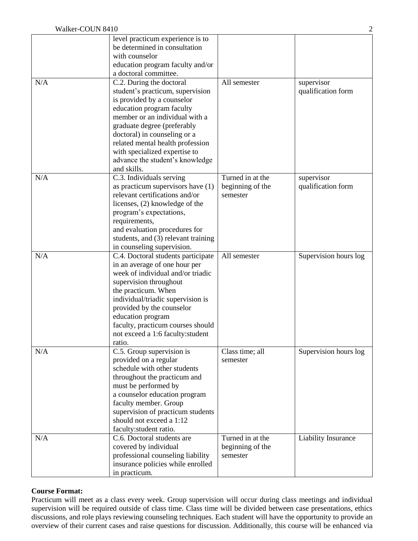|     | level practicum experience is to<br>be determined in consultation<br>with counselor<br>education program faculty and/or<br>a doctoral committee.                                                                                                                                                                                                |                                                  |                                  |
|-----|-------------------------------------------------------------------------------------------------------------------------------------------------------------------------------------------------------------------------------------------------------------------------------------------------------------------------------------------------|--------------------------------------------------|----------------------------------|
| N/A | C.2. During the doctoral<br>student's practicum, supervision<br>is provided by a counselor<br>education program faculty<br>member or an individual with a<br>graduate degree (preferably<br>doctoral) in counseling or a<br>related mental health profession<br>with specialized expertise to<br>advance the student's knowledge<br>and skills. | All semester                                     | supervisor<br>qualification form |
| N/A | C.3. Individuals serving<br>as practicum supervisors have $(1)$<br>relevant certifications and/or<br>licenses, (2) knowledge of the<br>program's expectations,<br>requirements,<br>and evaluation procedures for<br>students, and (3) relevant training<br>in counseling supervision.                                                           | Turned in at the<br>beginning of the<br>semester | supervisor<br>qualification form |
| N/A | C.4. Doctoral students participate<br>in an average of one hour per<br>week of individual and/or triadic<br>supervision throughout<br>the practicum. When<br>individual/triadic supervision is<br>provided by the counselor<br>education program<br>faculty, practicum courses should<br>not exceed a 1:6 faculty: student<br>ratio.            | All semester                                     | Supervision hours log            |
| N/A | C.5. Group supervision is<br>provided on a regular<br>schedule with other students<br>throughout the practicum and<br>must be performed by<br>a counselor education program<br>faculty member. Group<br>supervision of practicum students<br>should not exceed a 1:12<br>faculty: student ratio.                                                | Class time; all<br>semester                      | Supervision hours log            |
| N/A | C.6. Doctoral students are<br>covered by individual<br>professional counseling liability<br>insurance policies while enrolled<br>in practicum.                                                                                                                                                                                                  | Turned in at the<br>beginning of the<br>semester | Liability Insurance              |

## **Course Format:**

Practicum will meet as a class every week. Group supervision will occur during class meetings and individual supervision will be required outside of class time. Class time will be divided between case presentations, ethics discussions, and role plays reviewing counseling techniques. Each student will have the opportunity to provide an overview of their current cases and raise questions for discussion. Additionally, this course will be enhanced via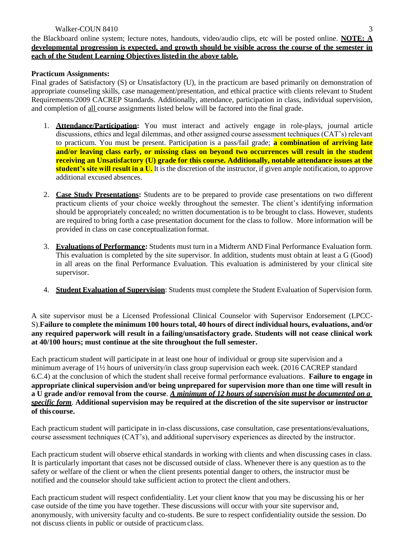the Blackboard online system; lecture notes, handouts, video/audio clips, etc will be posted online. **NOTE: A developmental progression is expected, and growth should be visible across the course of the semester in each of the Student Learning Objectives listedin the above table.**

# **Practicum Assignments:**

Final grades of Satisfactory (S) or Unsatisfactory (U), in the practicum are based primarily on demonstration of appropriate counseling skills, case management/presentation, and ethical practice with clients relevant to Student Requirements/2009 CACREP Standards. Additionally, attendance, participation in class, individual supervision, and completion of all course assignments listed below will be factored into the final grade.

- 1. **Attendance/Participation:** You must interact and actively engage in role-plays, journal article discussions, ethics and legal dilemmas, and other assigned course assessment techniques (CAT's) relevant to practicum. You must be present. Participation is a pass/fail grade; **a combination of arriving late and/or leaving class early, or missing class on beyond two occurrences will result in the student receiving an Unsatisfactory (U) grade for this course. Additionally, notable attendance issues at the student's site will result in a U.** It is the discretion of the instructor, if given ample notification, to approve additional excused absences.
- 2. **Case Study Presentations:** Students are to be prepared to provide case presentations on two different practicum clients of your choice weekly throughout the semester. The client's identifying information should be appropriately concealed; no written documentation is to be brought to class. However, students are required to bring forth a case presentation document for the class to follow. More information will be provided in class on case conceptualization format.
- 3. **Evaluations of Performance:** Students must turn in a Midterm AND Final Performance Evaluation form. This evaluation is completed by the site supervisor. In addition, students must obtain at least a G (Good) in all areas on the final Performance Evaluation. This evaluation is administered by your clinical site supervisor.
- 4. **Student Evaluation of Supervision**: Students must complete the Student Evaluation of Supervision form.

A site supervisor must be a Licensed Professional Clinical Counselor with Supervisor Endorsement (LPCC-S).**Failure to complete the minimum 100 hours total, 40 hours of direct individual hours, evaluations, and/or any required paperwork will result in a failing/unsatisfactory grade. Students will not cease clinical work at 40/100 hours; must continue at the site throughout the full semester.**

Each practicum student will participate in at least one hour of individual or group site supervision and a minimum average of 1½ hours of university/in class group supervision each week. (2016 CACREP standard 6.C.4) at the conclusion of which the student shall receive formal performance evaluations. **Failure to engage in appropriate clinical supervision and/or being unprepared for supervision more than one time will result in a U grade and/or removal from the course**. *A minimum of 12 hours of supervision must be documented on a specific form*. **Additional supervision may be required at the discretion of the site supervisor or instructor of this course.**

Each practicum student will participate in in-class discussions, case consultation, case presentations/evaluations, course assessment techniques (CAT's), and additional supervisory experiences as directed by the instructor.

Each practicum student will observe ethical standards in working with clients and when discussing cases in class. It is particularly important that cases not be discussed outside of class. Whenever there is any question as to the safety or welfare of the client or when the client presents potential danger to others, the instructor must be notified and the counselor should take sufficient action to protect the client and others.

Each practicum student will respect confidentiality. Let your client know that you may be discussing his or her case outside of the time you have together. These discussions will occur with your site supervisor and, anonymously, with university faculty and co-students. Be sure to respect confidentiality outside the session. Do not discuss clients in public or outside of practicum class.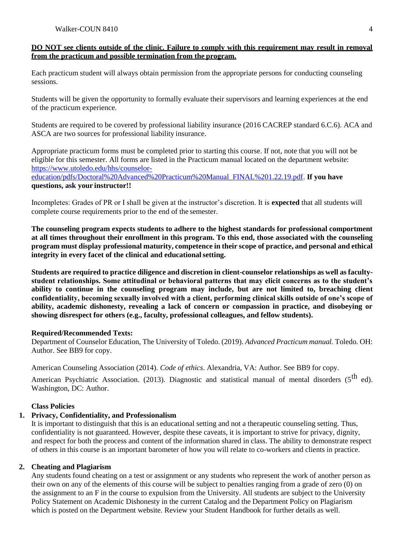## **DO NOT see clients outside of the clinic. Failure to comply with this requirement may result in removal from the practicum and possible termination from the program.**

Each practicum student will always obtain permission from the appropriate persons for conducting counseling sessions.

Students will be given the opportunity to formally evaluate their supervisors and learning experiences at the end of the practicum experience.

Students are required to be covered by professional liability insurance (2016 CACREP standard 6.C.6). ACA and ASCA are two sources for professional liability insurance.

Appropriate practicum forms must be completed prior to starting this course. If not, note that you will not be eligible for this semester. All forms are listed in the Practicum manual located on the department website: [https://www.utoledo.edu/hhs/counselor-](http://utoledo.edu/hshs/cesp/)

[education/pdfs/Doctoral%20Advanced%20Practicum%20Manual\\_FINAL%201.22.19.pdf.](https://www.utoledo.edu/hhs/counselor-education/pdfs/Doctoral%20Advanced%20Practicum%20Manual_FINAL%201.22.19.pdf) **If you have questions, ask your instructor!!**

Incompletes: Grades of PR or I shall be given at the instructor's discretion. It is **expected** that all students will complete course requirements prior to the end of the semester.

**The counseling program expects students to adhere to the highest standards for professional comportment at all times throughout their enrollment in this program. To this end, those associated with the counseling program must display professional maturity, competence in their scope of practice, and personal and ethical integrity in every facet of the clinical and educationalsetting.**

**Students are required to practice diligence and discretion in client-counselor relationships as well as facultystudent relationships. Some attitudinal or behavioral patterns that may elicit concerns as to the student's ability to continue in the counseling program may include, but are not limited to, breaching client confidentiality, becoming sexually involved with a client, performing clinical skills outside of one's scope of ability, academic dishonesty, revealing a lack of concern or compassion in practice, and disobeying or showing disrespect for others (e.g., faculty, professional colleagues, and fellow students).**

## **Required/Recommended Texts:**

Department of Counselor Education, The University of Toledo. (2019). *Advanced Practicum manual.* Toledo. OH: Author. See BB9 for copy.

American Counseling Association (2014). *Code of ethics*. Alexandria, VA: Author. See BB9 for copy.

American Psychiatric Association. (2013). Diagnostic and statistical manual of mental disorders (5<sup>th</sup> ed). Washington, DC: Author.

# **Class Policies**

#### **1. Privacy, Confidentiality, and Professionalism**

It is important to distinguish that this is an educational setting and not a therapeutic counseling setting. Thus, confidentiality is not guaranteed. However, despite these caveats, it is important to strive for privacy, dignity, and respect for both the process and content of the information shared in class. The ability to demonstrate respect of others in this course is an important barometer of how you will relate to co-workers and clients in practice.

# **2. Cheating and Plagiarism**

Any students found cheating on a test or assignment or any students who represent the work of another person as their own on any of the elements of this course will be subject to penalties ranging from a grade of zero (0) on the assignment to an F in the course to expulsion from the University. All students are subject to the University Policy Statement on Academic Dishonesty in the current Catalog and the Department Policy on Plagiarism which is posted on the Department website. Review your Student Handbook for further details as well.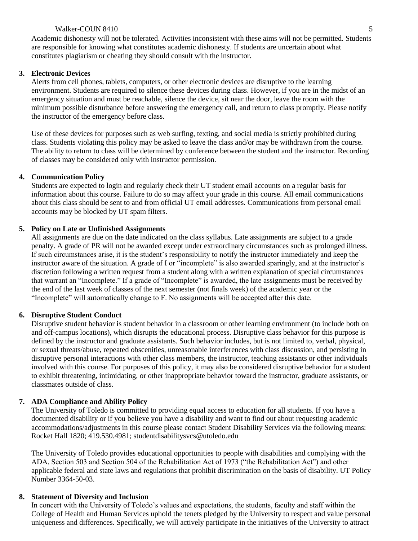#### Walker-COUN 8410 5

Academic dishonesty will not be tolerated. Activities inconsistent with these aims will not be permitted. Students are responsible for knowing what constitutes academic dishonesty. If students are uncertain about what constitutes plagiarism or cheating they should consult with the instructor.

#### **3. Electronic Devices**

Alerts from cell phones, tablets, computers, or other electronic devices are disruptive to the learning environment. Students are required to silence these devices during class. However, if you are in the midst of an emergency situation and must be reachable, silence the device, sit near the door, leave the room with the minimum possible disturbance before answering the emergency call, and return to class promptly. Please notify the instructor of the emergency before class.

Use of these devices for purposes such as web surfing, texting, and social media is strictly prohibited during class. Students violating this policy may be asked to leave the class and/or may be withdrawn from the course. The ability to return to class will be determined by conference between the student and the instructor. Recording of classes may be considered only with instructor permission.

#### **4. Communication Policy**

Students are expected to login and regularly check their UT student email accounts on a regular basis for information about this course. Failure to do so may affect your grade in this course. All email communications about this class should be sent to and from official UT email addresses. Communications from personal email accounts may be blocked by UT spam filters.

#### **5. Policy on Late or Unfinished Assignments**

All assignments are due on the date indicated on the class syllabus. Late assignments are subject to a grade penalty. A grade of PR will not be awarded except under extraordinary circumstances such as prolonged illness. If such circumstances arise, it is the student's responsibility to notify the instructor immediately and keep the instructor aware of the situation. A grade of I or "incomplete" is also awarded sparingly, and at the instructor's discretion following a written request from a student along with a written explanation of special circumstances that warrant an "Incomplete." If a grade of "Incomplete" is awarded, the late assignments must be received by the end of the last week of classes of the next semester (not finals week) of the academic year or the "Incomplete" will automatically change to F. No assignments will be accepted after this date.

## **6. Disruptive Student Conduct**

Disruptive student behavior is student behavior in a classroom or other learning environment (to include both on and off-campus locations), which disrupts the educational process. Disruptive class behavior for this purpose is defined by the instructor and graduate assistants. Such behavior includes, but is not limited to, verbal, physical, or sexual threats/abuse, repeated obscenities, unreasonable interferences with class discussion, and persisting in disruptive personal interactions with other class members, the instructor, teaching assistants or other individuals involved with this course. For purposes of this policy, it may also be considered disruptive behavior for a student to exhibit threatening, intimidating, or other inappropriate behavior toward the instructor, graduate assistants, or classmates outside of class.

#### **7. ADA Compliance and Ability Policy**

The University of Toledo is committed to providing equal access to education for all students. If you have a documented disability or if you believe you have a disability and want to find out about requesting academic accommodations/adjustments in this course please contact Student Disability Services via the following means: Rocket Hall 1820; 419.530.4981; studentdisabilitysvcs@utoledo.edu

The University of Toledo provides educational opportunities to people with disabilities and complying with the ADA, Section 503 and Section 504 of the Rehabilitation Act of 1973 ("the Rehabilitation Act") and other applicable federal and state laws and regulations that prohibit discrimination on the basis of disability. UT Policy Number 3364-50-03.

#### **8. Statement of Diversity and Inclusion**

In concert with the University of Toledo's values and expectations, the students, faculty and staff within the College of Health and Human Services uphold the tenets pledged by the University to respect and value personal uniqueness and differences. Specifically, we will actively participate in the initiatives of the University to attract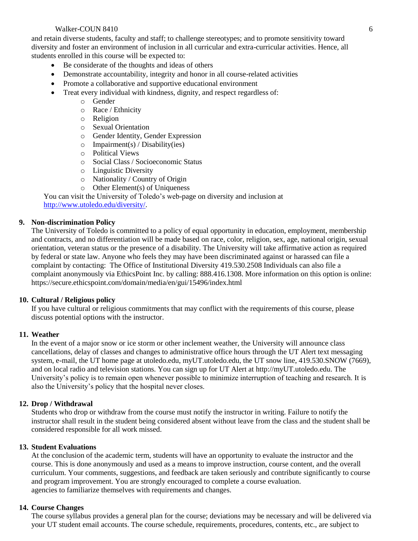#### Walker-COUN 8410 6

and retain diverse students, faculty and staff; to challenge stereotypes; and to promote sensitivity toward diversity and foster an environment of inclusion in all curricular and extra-curricular activities. Hence, all students enrolled in this course will be expected to:

- Be considerate of the thoughts and ideas of others
- Demonstrate accountability, integrity and honor in all course-related activities
- Promote a collaborative and supportive educational environment
- Treat every individual with kindness, dignity, and respect regardless of:
	- o Gender
	- o Race / Ethnicity
	- o Religion
	- o Sexual Orientation
	- o Gender Identity, Gender Expression
	- $\circ$  Impairment(s) / Disability(ies)
	- o Political Views
	- o Social Class / Socioeconomic Status
	- o Linguistic Diversity
	- o Nationality / Country of Origin
	- o Other Element(s) of Uniqueness

You can visit the University of Toledo's web-page on diversity and inclusion at [http://www.utoledo.edu/diversity/.](http://www.utoledo.edu/diversity/)

# **9. Non-discrimination Policy**

The University of Toledo is committed to a policy of equal opportunity in education, employment, membership and contracts, and no differentiation will be made based on race, color, religion, sex, age, national origin, sexual orientation, veteran status or the presence of a disability. The University will take affirmative action as required by federal or state law. Anyone who feels they may have been discriminated against or harassed can file a complaint by contacting: The Office of Institutional Diversity 419.530.2508 Individuals can also file a complaint anonymously via EthicsPoint Inc. by calling: 888.416.1308. More information on this option is online: https://secure.ethicspoint.com/domain/media/en/gui/15496/index.html

#### **10. Cultural / Religious policy**

If you have cultural or religious commitments that may conflict with the requirements of this course, please discuss potential options with the instructor.

#### **11. Weather**

In the event of a major snow or ice storm or other inclement weather, the University will announce class cancellations, delay of classes and changes to administrative office hours through the UT Alert text messaging system, e-mail, the UT home page at utoledo.edu, myUT.utoledo.edu, the UT snow line, 419.530.SNOW (7669), and on local radio and television stations. You can sign up for UT Alert at [http://myUT.utoledo.edu.](http://myut.utoledo.edu/) The University's policy is to remain open whenever possible to minimize interruption of teaching and research. It is also the University's policy that the hospital never closes.

#### **12. Drop / Withdrawal**

Students who drop or withdraw from the course must notify the instructor in writing. Failure to notify the instructor shall result in the student being considered absent without leave from the class and the student shall be considered responsible for all work missed.

#### **13. Student Evaluations**

At the conclusion of the academic term, students will have an opportunity to evaluate the instructor and the course. This is done anonymously and used as a means to improve instruction, course content, and the overall curriculum. Your comments, suggestions, and feedback are taken seriously and contribute significantly to course and program improvement. You are strongly encouraged to complete a course evaluation. agencies to familiarize themselves with requirements and changes.

#### **14. Course Changes**

The course syllabus provides a general plan for the course; deviations may be necessary and will be delivered via your UT student email accounts. The course schedule, requirements, procedures, contents, etc., are subject to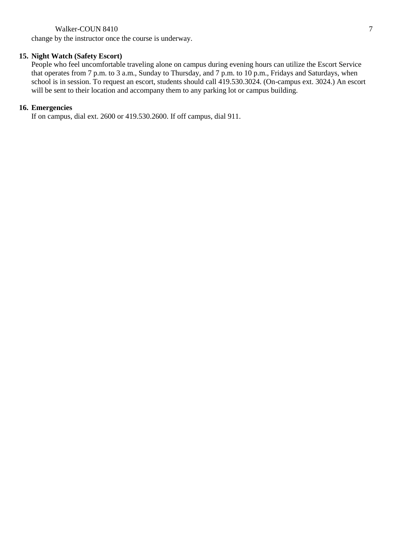#### Walker-COUN 8410 7

change by the instructor once the course is underway.

#### **15. Night Watch (Safety Escort)**

People who feel uncomfortable traveling alone on campus during evening hours can utilize the Escort Service that operates from 7 p.m. to 3 a.m., Sunday to Thursday, and 7 p.m. to 10 p.m., Fridays and Saturdays, when school is in session. To request an escort, students should call 419.530.3024. (On-campus ext. 3024.) An escort will be sent to their location and accompany them to any parking lot or campus building.

#### **16. Emergencies**

If on campus, dial ext. 2600 or 419.530.2600. If off campus, dial 911.